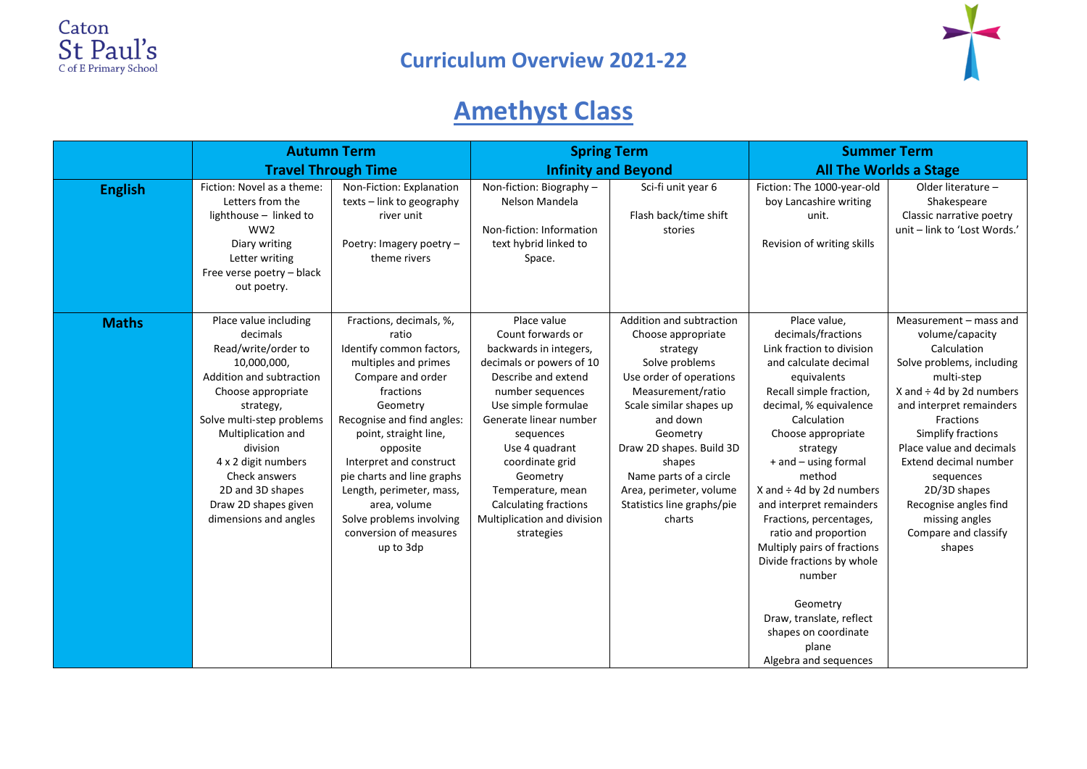



## **Amethyst Class**

|                | <b>Autumn Term</b><br><b>Travel Through Time</b>                                                                                                                                                                                                                                                                   |                                                                                                                                                                                                                                                                                                                                                                               | <b>Spring Term</b>                                                                                                                                                                                                                                                                                                                                 |                                                                                                                                                                                                                                                                                                                    | <b>Summer Term</b>                                                                                                                                                                                                                                                                                                                                                                                                                                                                                                                      |                                                                                                                                                                                                                                                                                                                                                                    |
|----------------|--------------------------------------------------------------------------------------------------------------------------------------------------------------------------------------------------------------------------------------------------------------------------------------------------------------------|-------------------------------------------------------------------------------------------------------------------------------------------------------------------------------------------------------------------------------------------------------------------------------------------------------------------------------------------------------------------------------|----------------------------------------------------------------------------------------------------------------------------------------------------------------------------------------------------------------------------------------------------------------------------------------------------------------------------------------------------|--------------------------------------------------------------------------------------------------------------------------------------------------------------------------------------------------------------------------------------------------------------------------------------------------------------------|-----------------------------------------------------------------------------------------------------------------------------------------------------------------------------------------------------------------------------------------------------------------------------------------------------------------------------------------------------------------------------------------------------------------------------------------------------------------------------------------------------------------------------------------|--------------------------------------------------------------------------------------------------------------------------------------------------------------------------------------------------------------------------------------------------------------------------------------------------------------------------------------------------------------------|
|                |                                                                                                                                                                                                                                                                                                                    |                                                                                                                                                                                                                                                                                                                                                                               | <b>Infinity and Beyond</b>                                                                                                                                                                                                                                                                                                                         |                                                                                                                                                                                                                                                                                                                    | <b>All The Worlds a Stage</b>                                                                                                                                                                                                                                                                                                                                                                                                                                                                                                           |                                                                                                                                                                                                                                                                                                                                                                    |
| <b>English</b> | Fiction: Novel as a theme:<br>Letters from the<br>lighthouse - linked to<br>WW <sub>2</sub><br>Diary writing<br>Letter writing<br>Free verse poetry - black<br>out poetry.                                                                                                                                         | Non-Fiction: Explanation<br>texts - link to geography<br>river unit<br>Poetry: Imagery poetry -<br>theme rivers                                                                                                                                                                                                                                                               | Non-fiction: Biography -<br>Nelson Mandela<br>Non-fiction: Information<br>text hybrid linked to<br>Space.                                                                                                                                                                                                                                          | Sci-fi unit year 6<br>Flash back/time shift<br>stories                                                                                                                                                                                                                                                             | Fiction: The 1000-year-old<br>boy Lancashire writing<br>unit.<br>Revision of writing skills                                                                                                                                                                                                                                                                                                                                                                                                                                             | Older literature -<br>Shakespeare<br>Classic narrative poetry<br>unit - link to 'Lost Words.'                                                                                                                                                                                                                                                                      |
| <b>Maths</b>   | Place value including<br>decimals<br>Read/write/order to<br>10,000,000,<br>Addition and subtraction<br>Choose appropriate<br>strategy,<br>Solve multi-step problems<br>Multiplication and<br>division<br>4 x 2 digit numbers<br>Check answers<br>2D and 3D shapes<br>Draw 2D shapes given<br>dimensions and angles | Fractions, decimals, %,<br>ratio<br>Identify common factors,<br>multiples and primes<br>Compare and order<br>fractions<br>Geometry<br>Recognise and find angles:<br>point, straight line,<br>opposite<br>Interpret and construct<br>pie charts and line graphs<br>Length, perimeter, mass,<br>area, volume<br>Solve problems involving<br>conversion of measures<br>up to 3dp | Place value<br>Count forwards or<br>backwards in integers,<br>decimals or powers of 10<br>Describe and extend<br>number sequences<br>Use simple formulae<br>Generate linear number<br>sequences<br>Use 4 quadrant<br>coordinate grid<br>Geometry<br>Temperature, mean<br><b>Calculating fractions</b><br>Multiplication and division<br>strategies | Addition and subtraction<br>Choose appropriate<br>strategy<br>Solve problems<br>Use order of operations<br>Measurement/ratio<br>Scale similar shapes up<br>and down<br>Geometry<br>Draw 2D shapes. Build 3D<br>shapes<br>Name parts of a circle<br>Area, perimeter, volume<br>Statistics line graphs/pie<br>charts | Place value,<br>decimals/fractions<br>Link fraction to division<br>and calculate decimal<br>equivalents<br>Recall simple fraction,<br>decimal, % equivalence<br>Calculation<br>Choose appropriate<br>strategy<br>+ and - using formal<br>method<br>X and $\div$ 4d by 2d numbers<br>and interpret remainders<br>Fractions, percentages,<br>ratio and proportion<br>Multiply pairs of fractions<br>Divide fractions by whole<br>number<br>Geometry<br>Draw, translate, reflect<br>shapes on coordinate<br>plane<br>Algebra and sequences | Measurement - mass and<br>volume/capacity<br>Calculation<br>Solve problems, including<br>multi-step<br>X and $\div$ 4d by 2d numbers<br>and interpret remainders<br>Fractions<br>Simplify fractions<br>Place value and decimals<br>Extend decimal number<br>sequences<br>2D/3D shapes<br>Recognise angles find<br>missing angles<br>Compare and classify<br>shapes |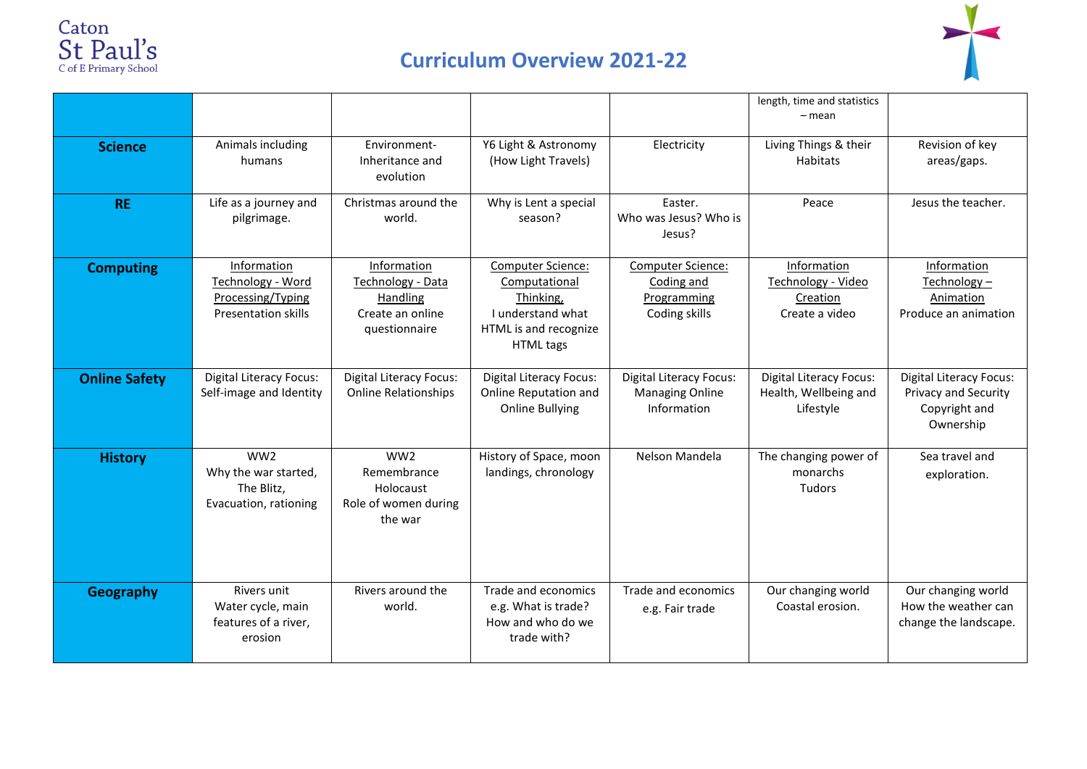

## **Curriculum Overview 2021-22**



|                      |                                                                                     |                                                                                   |                                                                                                                   |                                                                         | length, time and statistics<br>– mean                                |                                                                                             |
|----------------------|-------------------------------------------------------------------------------------|-----------------------------------------------------------------------------------|-------------------------------------------------------------------------------------------------------------------|-------------------------------------------------------------------------|----------------------------------------------------------------------|---------------------------------------------------------------------------------------------|
| <b>Science</b>       | Animals including<br>humans                                                         | Environment-<br>Inheritance and<br>evolution                                      | Y6 Light & Astronomy<br>(How Light Travels)                                                                       | Electricity                                                             | Living Things & their<br>Habitats                                    | Revision of key<br>areas/gaps.                                                              |
| <b>RE</b>            | Life as a journey and<br>pilgrimage.                                                | Christmas around the<br>world.                                                    | Why is Lent a special<br>season?                                                                                  | Easter.<br>Who was Jesus? Who is<br>Jesus?                              | Peace                                                                | Jesus the teacher.                                                                          |
| <b>Computing</b>     | Information<br>Technology - Word<br>Processing/Typing<br><b>Presentation skills</b> | Information<br>Technology - Data<br>Handling<br>Create an online<br>questionnaire | <b>Computer Science:</b><br>Computational<br>Thinking,<br>I understand what<br>HTML is and recognize<br>HTML tags | Computer Science:<br>Coding and<br>Programming<br>Coding skills         | Information<br>Technology - Video<br>Creation<br>Create a video      | Information<br>Technology -<br>Animation<br>Produce an animation                            |
| <b>Online Safety</b> | <b>Digital Literacy Focus:</b><br>Self-image and Identity                           | <b>Digital Literacy Focus:</b><br><b>Online Relationships</b>                     | <b>Digital Literacy Focus:</b><br>Online Reputation and<br><b>Online Bullying</b>                                 | <b>Digital Literacy Focus:</b><br><b>Managing Online</b><br>Information | <b>Digital Literacy Focus:</b><br>Health, Wellbeing and<br>Lifestyle | <b>Digital Literacy Focus:</b><br><b>Privacy and Security</b><br>Copyright and<br>Ownership |
| <b>History</b>       | WW <sub>2</sub><br>Why the war started,<br>The Blitz,<br>Evacuation, rationing      | WW <sub>2</sub><br>Remembrance<br>Holocaust<br>Role of women during<br>the war    | History of Space, moon<br>landings, chronology                                                                    | Nelson Mandela                                                          | The changing power of<br>monarchs<br><b>Tudors</b>                   | Sea travel and<br>exploration.                                                              |
| <b>Geography</b>     | Rivers unit<br>Water cycle, main<br>features of a river,<br>erosion                 | Rivers around the<br>world.                                                       | Trade and economics<br>e.g. What is trade?<br>How and who do we<br>trade with?                                    | Trade and economics<br>e.g. Fair trade                                  | Our changing world<br>Coastal erosion.                               | Our changing world<br>How the weather can<br>change the landscape.                          |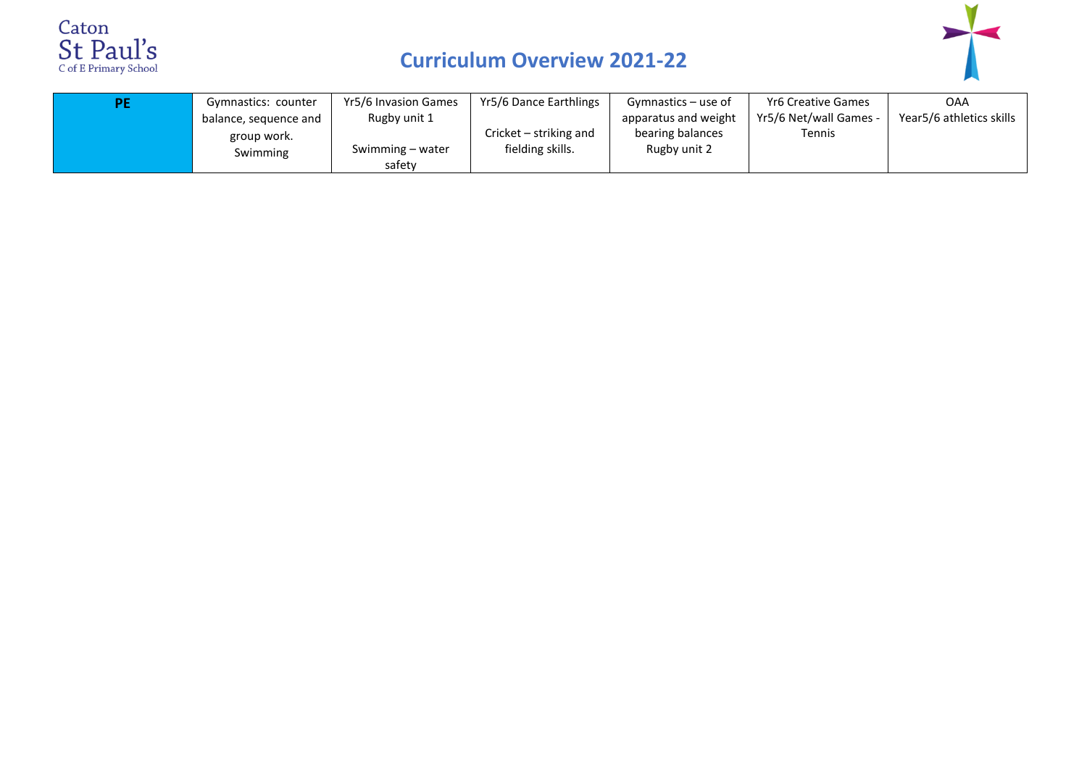

## **Curriculum Overview 2021-22**



| Gymnastics: counter   | Yr5/6 Invasion Games | Yr5/6 Dance Earthlings | Gymnastics – use of  | Yr6 Creative Games     | OAA                      |
|-----------------------|----------------------|------------------------|----------------------|------------------------|--------------------------|
| balance, sequence and | Rugby unit 1         |                        | apparatus and weight | Yr5/6 Net/wall Games - | Year5/6 athletics skills |
| group work.           |                      | Cricket – striking and | bearing balances     | Tennis                 |                          |
| Swimming              | Swimming – water     | fielding skills.       | Rugby unit 2         |                        |                          |
|                       | safety               |                        |                      |                        |                          |